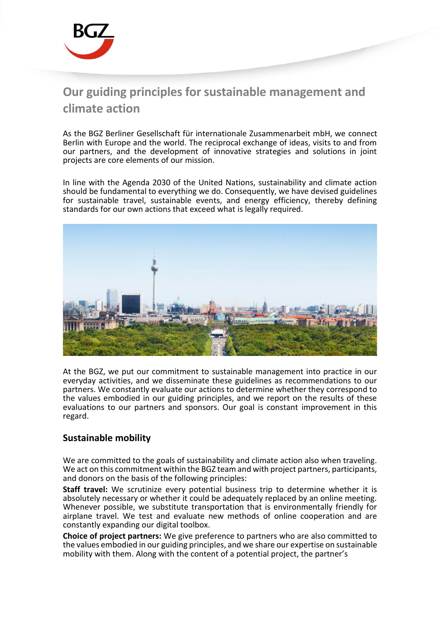

## **Our guiding principles for sustainable management and climate action**

As the BGZ Berliner Gesellschaft für internationale Zusammenarbeit mbH, we connect Berlin with Europe and the world. The reciprocal exchange of ideas, visits to and from our partners, and the development of innovative strategies and solutions in joint projects are core elements of our mission.

In line with the Agenda 2030 of the United Nations, sustainability and climate action should be fundamental to everything we do. Consequently, we have devised guidelines for sustainable travel, sustainable events, and energy efficiency, thereby defining standards for our own actions that exceed what is legally required.



At the BGZ, we put our commitment to sustainable management into practice in our everyday activities, and we disseminate these guidelines as recommendations to our partners. We constantly evaluate our actions to determine whether they correspond to the values embodied in our guiding principles, and we report on the results of these evaluations to our partners and sponsors. Our goal is constant improvement in this regard.

## **Sustainable mobility**

We are committed to the goals of sustainability and climate action also when traveling. We act on this commitment within the BGZ team and with project partners, participants, and donors on the basis of the following principles:

**Staff travel:** We scrutinize every potential business trip to determine whether it is absolutely necessary or whether it could be adequately replaced by an online meeting. Whenever possible, we substitute transportation that is environmentally friendly for airplane travel. We test and evaluate new methods of online cooperation and are constantly expanding our digital toolbox.

**Choice of project partners:** We give preference to partners who are also committed to the values embodied in our guiding principles, and we share our expertise on sustainable mobility with them. Along with the content of a potential project, the partner's